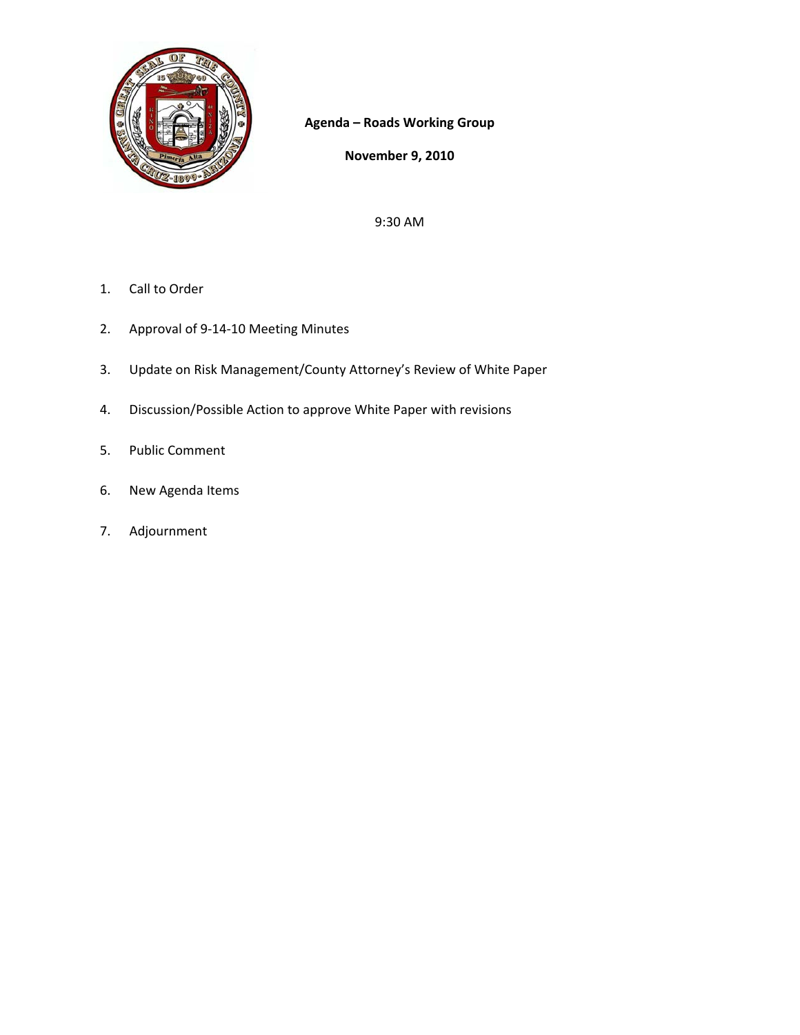

**Agenda – Roads Working Group**

**November 9, 2010**

9:30 AM

- 1. Call to Order
- 2. Approval of 9‐14‐10 Meeting Minutes
- 3. Update on Risk Management/County Attorney's Review of White Paper
- 4. Discussion/Possible Action to approve White Paper with revisions
- 5. Public Comment
- 6. New Agenda Items
- 7. Adjournment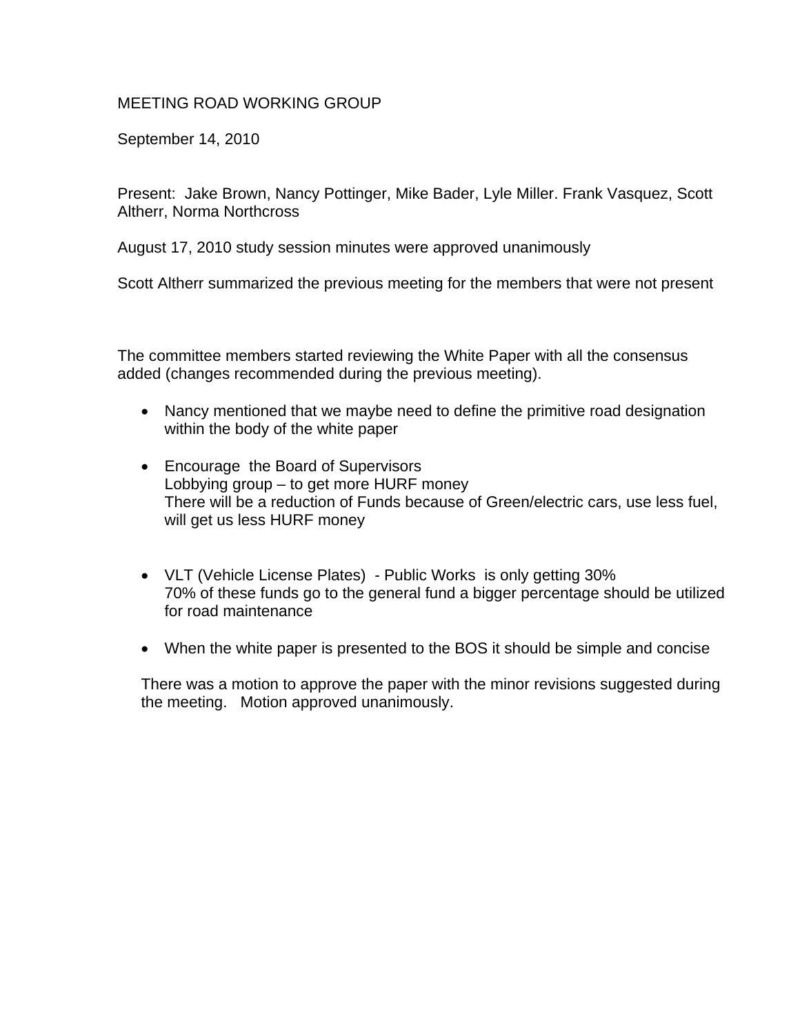## MEETING ROAD WORKING GROUP

September 14, 2010

Present: Jake Brown, Nancy Pottinger, Mike Bader, Lyle Miller. Frank Vasquez, Scott Altherr, Norma Northcross

August 17, 2010 study session minutes were approved unanimously

Scott Altherr summarized the previous meeting for the members that were not present

The committee members started reviewing the White Paper with all the consensus added (changes recommended during the previous meeting).

- Nancy mentioned that we maybe need to define the primitive road designation within the body of the white paper
- Encourage the Board of Supervisors Lobbying group – to get more HURF money There will be a reduction of Funds because of Green/electric cars, use less fuel, will get us less HURF money
- VLT (Vehicle License Plates) Public Works is only getting 30% 70% of these funds go to the general fund a bigger percentage should be utilized for road maintenance
- When the white paper is presented to the BOS it should be simple and concise

There was a motion to approve the paper with the minor revisions suggested during the meeting. Motion approved unanimously.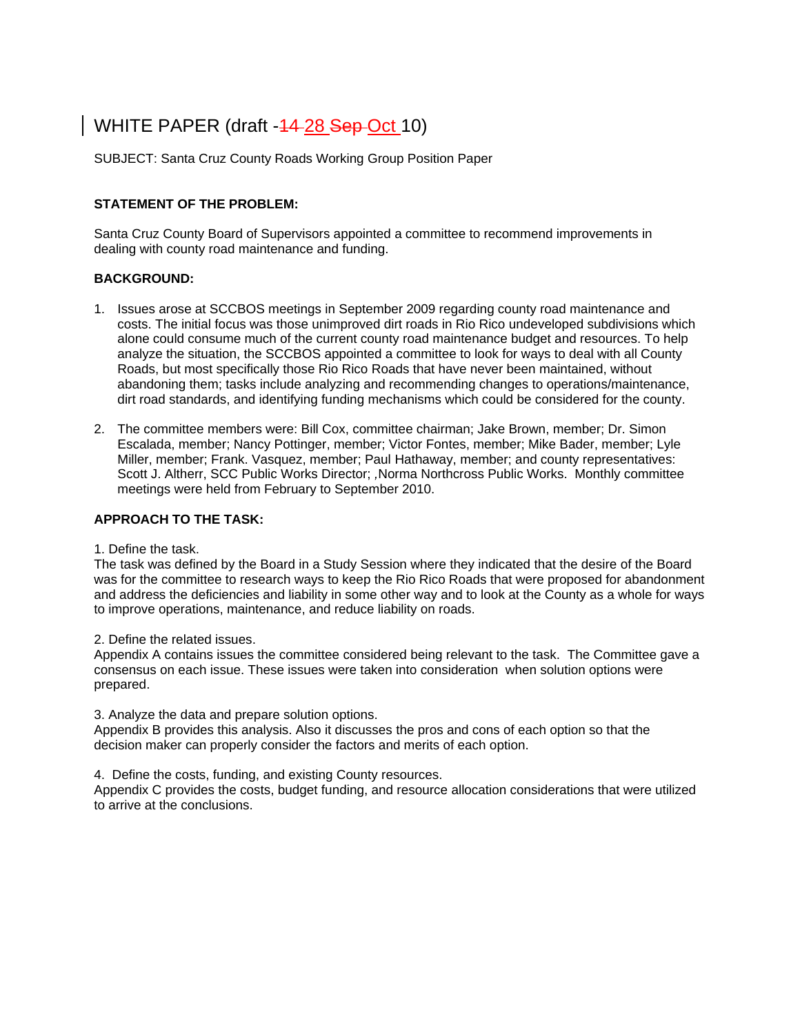# WHITE PAPER (draft -44-28 Sep-Oct 10)

SUBJECT: Santa Cruz County Roads Working Group Position Paper

### **STATEMENT OF THE PROBLEM:**

Santa Cruz County Board of Supervisors appointed a committee to recommend improvements in dealing with county road maintenance and funding.

#### **BACKGROUND:**

- 1. Issues arose at SCCBOS meetings in September 2009 regarding county road maintenance and costs. The initial focus was those unimproved dirt roads in Rio Rico undeveloped subdivisions which alone could consume much of the current county road maintenance budget and resources. To help analyze the situation, the SCCBOS appointed a committee to look for ways to deal with all County Roads, but most specifically those Rio Rico Roads that have never been maintained, without abandoning them; tasks include analyzing and recommending changes to operations/maintenance, dirt road standards, and identifying funding mechanisms which could be considered for the county.
- 2. The committee members were: Bill Cox, committee chairman; Jake Brown, member; Dr. Simon Escalada, member; Nancy Pottinger, member; Victor Fontes, member; Mike Bader, member; Lyle Miller, member; Frank. Vasquez, member; Paul Hathaway, member; and county representatives: Scott J. Altherr, SCC Public Works Director; *,*Norma Northcross Public Works. Monthly committee meetings were held from February to September 2010.

### **APPROACH TO THE TASK:**

1. Define the task.

The task was defined by the Board in a Study Session where they indicated that the desire of the Board was for the committee to research ways to keep the Rio Rico Roads that were proposed for abandonment and address the deficiencies and liability in some other way and to look at the County as a whole for ways to improve operations, maintenance, and reduce liability on roads.

2. Define the related issues.

Appendix A contains issues the committee considered being relevant to the task. The Committee gave a consensus on each issue. These issues were taken into consideration when solution options were prepared.

3. Analyze the data and prepare solution options.

Appendix B provides this analysis. Also it discusses the pros and cons of each option so that the decision maker can properly consider the factors and merits of each option.

4. Define the costs, funding, and existing County resources.

Appendix C provides the costs, budget funding, and resource allocation considerations that were utilized to arrive at the conclusions.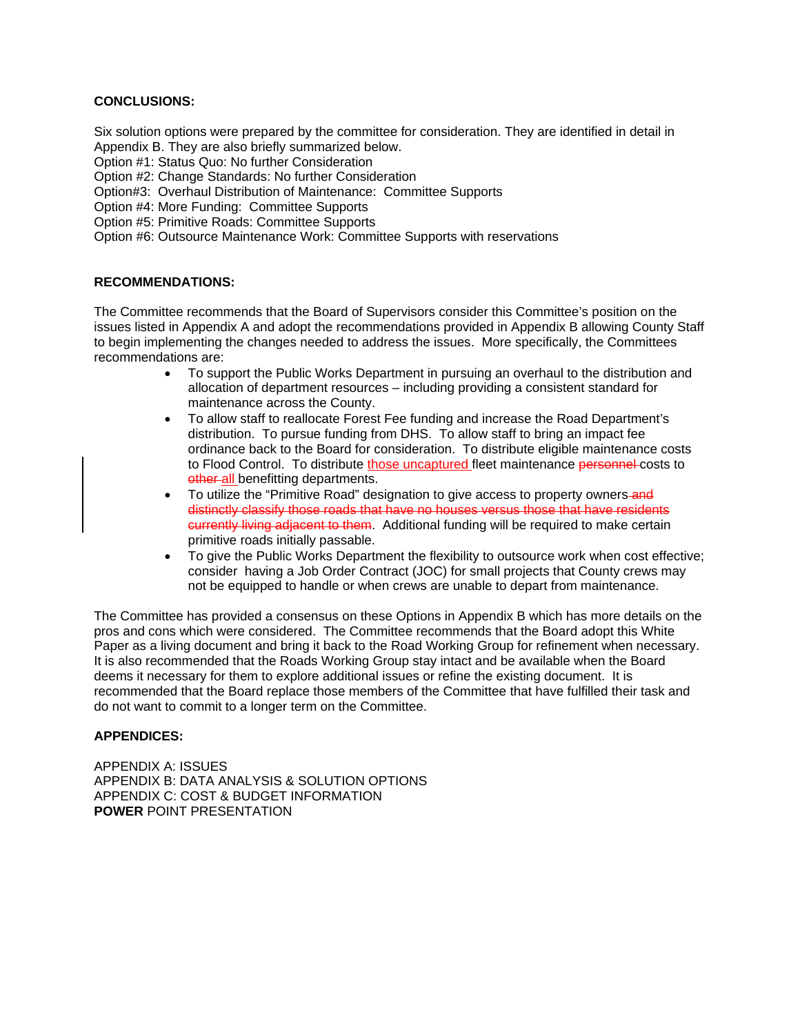### **CONCLUSIONS:**

Six solution options were prepared by the committee for consideration. They are identified in detail in Appendix B. They are also briefly summarized below.

Option #1: Status Quo: No further Consideration

Option #2: Change Standards: No further Consideration

Option#3: Overhaul Distribution of Maintenance: Committee Supports

Option #4: More Funding: Committee Supports

Option #5: Primitive Roads: Committee Supports

Option #6: Outsource Maintenance Work: Committee Supports with reservations

#### **RECOMMENDATIONS:**

The Committee recommends that the Board of Supervisors consider this Committee's position on the issues listed in Appendix A and adopt the recommendations provided in Appendix B allowing County Staff to begin implementing the changes needed to address the issues. More specifically, the Committees recommendations are:

- To support the Public Works Department in pursuing an overhaul to the distribution and allocation of department resources – including providing a consistent standard for maintenance across the County.
- To allow staff to reallocate Forest Fee funding and increase the Road Department's distribution. To pursue funding from DHS. To allow staff to bring an impact fee ordinance back to the Board for consideration. To distribute eligible maintenance costs to Flood Control. To distribute those uncaptured fleet maintenance personnel costs to other all benefitting departments.
- To utilize the "Primitive Road" designation to give access to property owners-and distinctly classify those roads that have no houses versus those that have residents currently living adjacent to them. Additional funding will be required to make certain primitive roads initially passable.
- To give the Public Works Department the flexibility to outsource work when cost effective; consider having a Job Order Contract (JOC) for small projects that County crews may not be equipped to handle or when crews are unable to depart from maintenance.

The Committee has provided a consensus on these Options in Appendix B which has more details on the pros and cons which were considered. The Committee recommends that the Board adopt this White Paper as a living document and bring it back to the Road Working Group for refinement when necessary. It is also recommended that the Roads Working Group stay intact and be available when the Board deems it necessary for them to explore additional issues or refine the existing document. It is recommended that the Board replace those members of the Committee that have fulfilled their task and do not want to commit to a longer term on the Committee.

#### **APPENDICES:**

APPENDIX A: ISSUES APPENDIX B: DATA ANALYSIS & SOLUTION OPTIONS APPENDIX C: COST & BUDGET INFORMATION **POWER** POINT PRESENTATION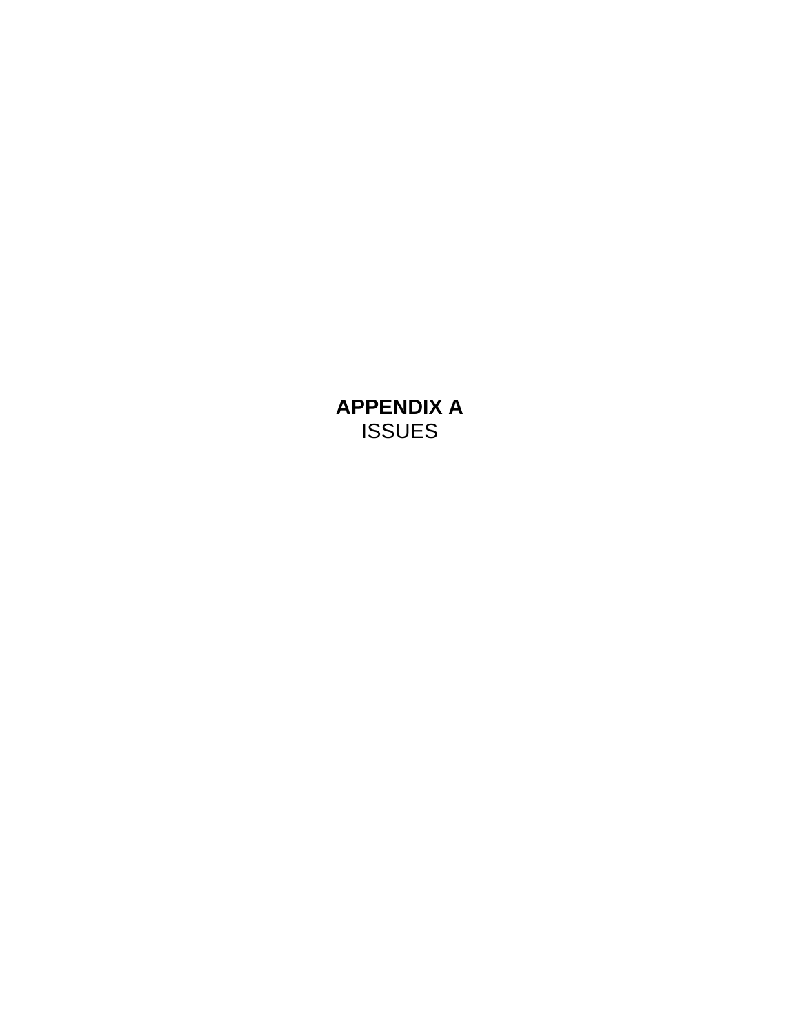**APPENDIX A**  ISSUES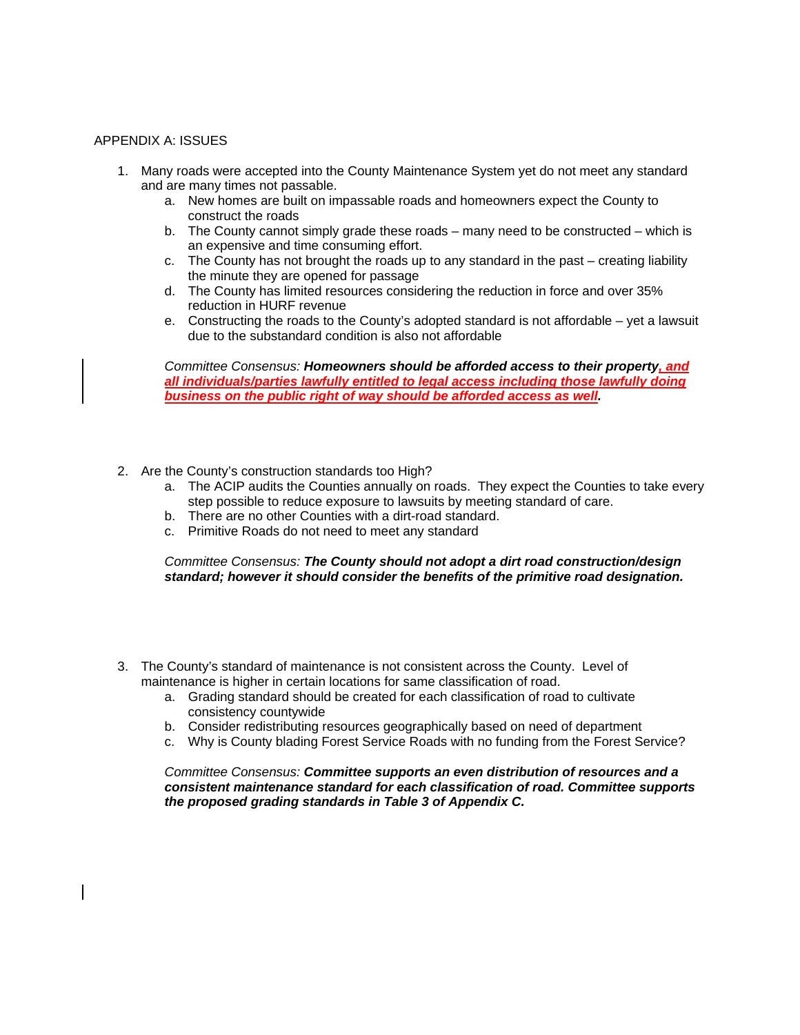#### APPENDIX A: ISSUES

- 1. Many roads were accepted into the County Maintenance System yet do not meet any standard and are many times not passable.
	- a. New homes are built on impassable roads and homeowners expect the County to construct the roads
	- b. The County cannot simply grade these roads many need to be constructed which is an expensive and time consuming effort.
	- c. The County has not brought the roads up to any standard in the past creating liability the minute they are opened for passage
	- d. The County has limited resources considering the reduction in force and over 35% reduction in HURF revenue
	- e. Constructing the roads to the County's adopted standard is not affordable yet a lawsuit due to the substandard condition is also not affordable

*Committee Consensus: Homeowners should be afforded access to their property, and all individuals/parties lawfully entitled to legal access including those lawfully doing business on the public right of way should be afforded access as well.*

- 2. Are the County's construction standards too High?
	- a. The ACIP audits the Counties annually on roads. They expect the Counties to take every step possible to reduce exposure to lawsuits by meeting standard of care.
	- b. There are no other Counties with a dirt-road standard.
	- c. Primitive Roads do not need to meet any standard

*Committee Consensus: The County should not adopt a dirt road construction/design standard; however it should consider the benefits of the primitive road designation.* 

- 3. The County's standard of maintenance is not consistent across the County. Level of maintenance is higher in certain locations for same classification of road.
	- a. Grading standard should be created for each classification of road to cultivate consistency countywide
	- b. Consider redistributing resources geographically based on need of department
	- c. Why is County blading Forest Service Roads with no funding from the Forest Service?

*Committee Consensus: Committee supports an even distribution of resources and a consistent maintenance standard for each classification of road. Committee supports the proposed grading standards in Table 3 of Appendix C.*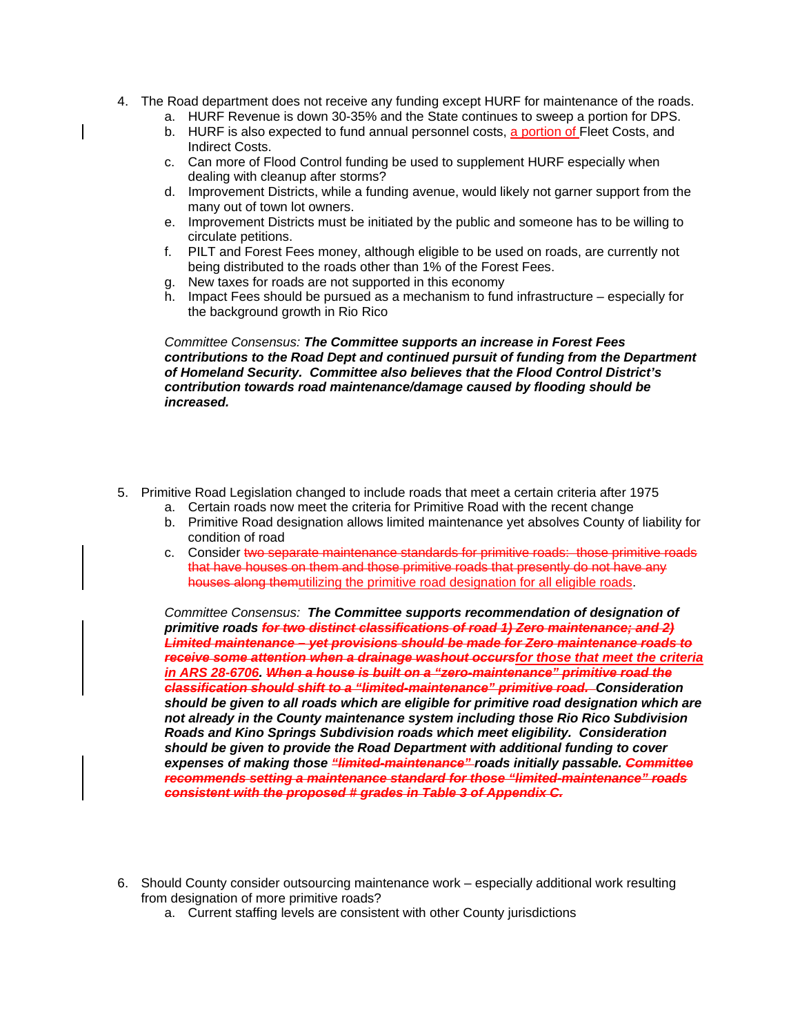- 4. The Road department does not receive any funding except HURF for maintenance of the roads.
	- a. HURF Revenue is down 30-35% and the State continues to sweep a portion for DPS.
	- b. HURF is also expected to fund annual personnel costs, a portion of Fleet Costs, and Indirect Costs.
	- c. Can more of Flood Control funding be used to supplement HURF especially when dealing with cleanup after storms?
	- d. Improvement Districts, while a funding avenue, would likely not garner support from the many out of town lot owners.
	- e. Improvement Districts must be initiated by the public and someone has to be willing to circulate petitions.
	- f. PILT and Forest Fees money, although eligible to be used on roads, are currently not being distributed to the roads other than 1% of the Forest Fees.
	- g. New taxes for roads are not supported in this economy
	- h. Impact Fees should be pursued as a mechanism to fund infrastructure especially for the background growth in Rio Rico

#### *Committee Consensus: The Committee supports an increase in Forest Fees contributions to the Road Dept and continued pursuit of funding from the Department of Homeland Security. Committee also believes that the Flood Control District's contribution towards road maintenance/damage caused by flooding should be increased.*

- 5. Primitive Road Legislation changed to include roads that meet a certain criteria after 1975
	- a. Certain roads now meet the criteria for Primitive Road with the recent change
	- b. Primitive Road designation allows limited maintenance yet absolves County of liability for condition of road
	- c. Consider two separate maintenance standards for primitive roads: those primitive roads that have houses on them and those primitive roads that presently do not have any houses along themutilizing the primitive road designation for all eligible roads.

*Committee Consensus: The Committee supports recommendation of designation of primitive roads for two distinct classifications of road 1) Zero maintenance; and 2) Limited maintenance – yet provisions should be made for Zero maintenance roads to receive some attention when a drainage washout occursfor those that meet the criteria in ARS 28-6706. When a house is built on a "zero-maintenance" primitive road the classification should shift to a "limited-maintenance" primitive road. Consideration should be given to all roads which are eligible for primitive road designation which are not already in the County maintenance system including those Rio Rico Subdivision Roads and Kino Springs Subdivision roads which meet eligibility. Consideration should be given to provide the Road Department with additional funding to cover expenses of making those "limited-maintenance" roads initially passable. Committee recommends setting a maintenance standard for those "limited-maintenance" roads consistent with the proposed # grades in Table 3 of Appendix C.* 

- 6. Should County consider outsourcing maintenance work especially additional work resulting from designation of more primitive roads?
	- a. Current staffing levels are consistent with other County jurisdictions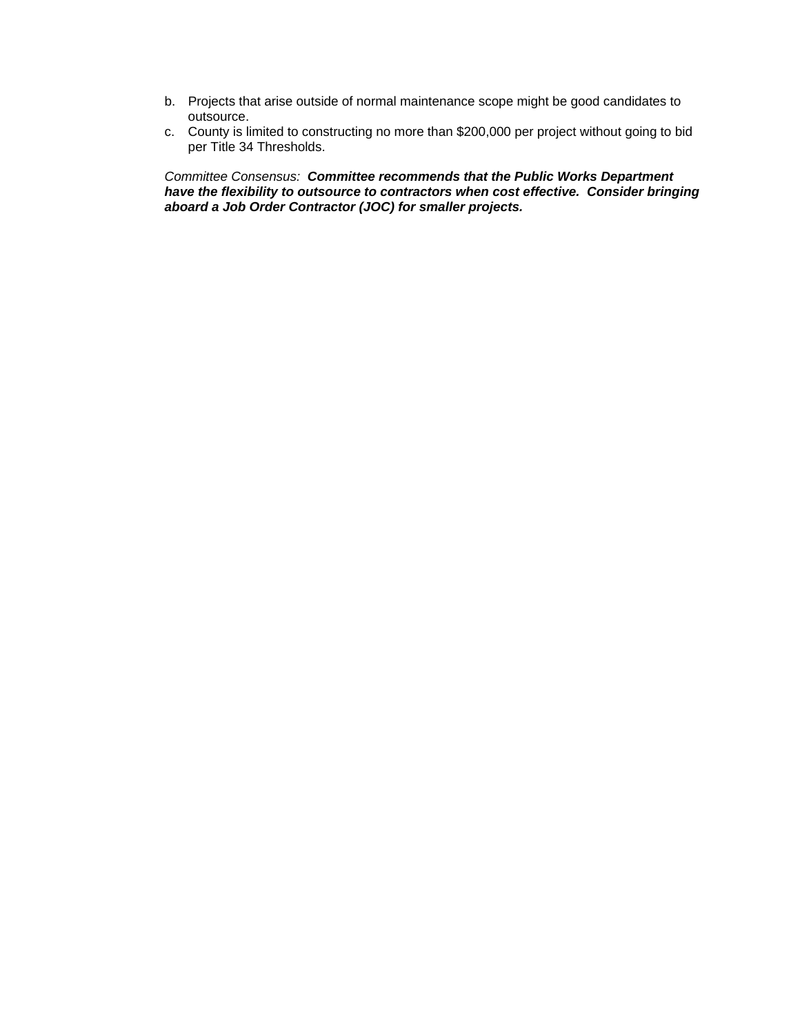- b. Projects that arise outside of normal maintenance scope might be good candidates to outsource.
- c. County is limited to constructing no more than \$200,000 per project without going to bid per Title 34 Thresholds.

*Committee Consensus: Committee recommends that the Public Works Department have the flexibility to outsource to contractors when cost effective. Consider bringing aboard a Job Order Contractor (JOC) for smaller projects.*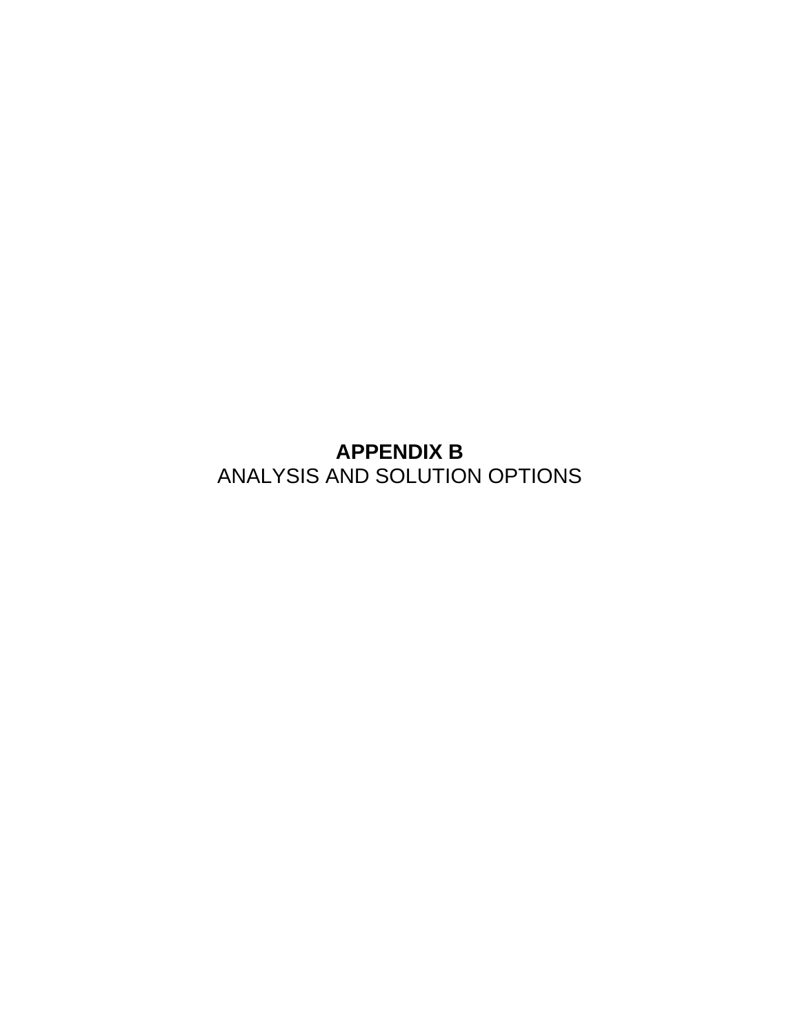**APPENDIX B**  ANALYSIS AND SOLUTION OPTIONS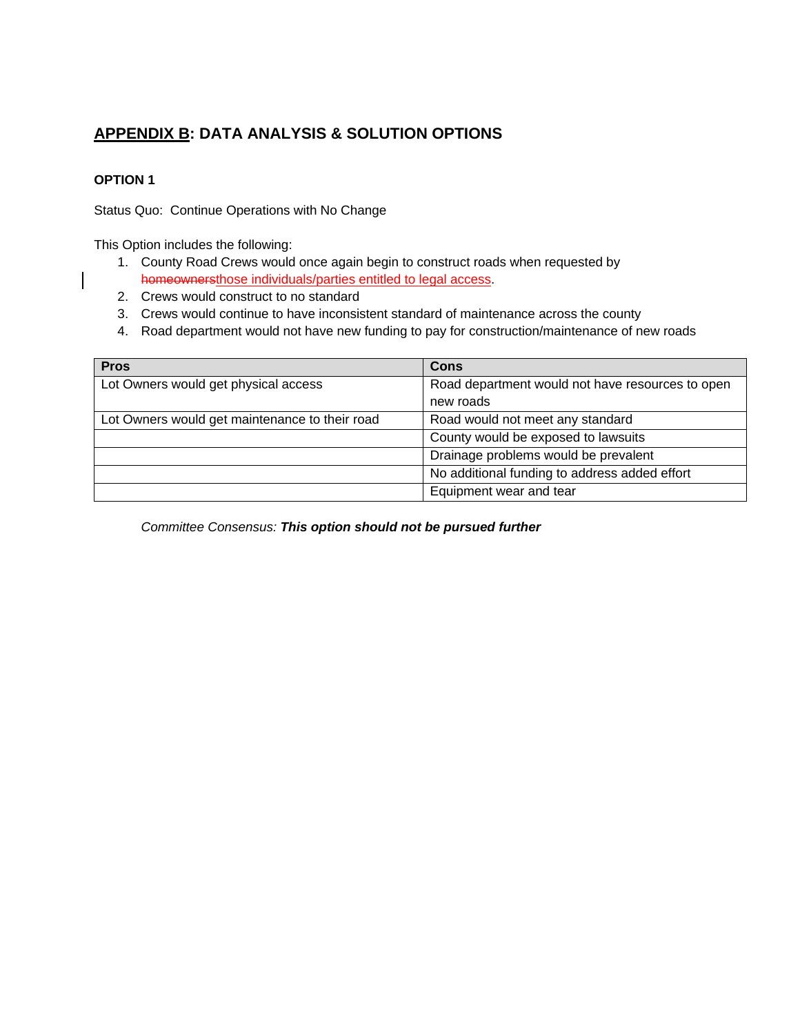# **APPENDIX B: DATA ANALYSIS & SOLUTION OPTIONS**

## **OPTION 1**

Status Quo: Continue Operations with No Change

This Option includes the following:

- 1. County Road Crews would once again begin to construct roads when requested by homeownersthose individuals/parties entitled to legal access.
- 2. Crews would construct to no standard
- 3. Crews would continue to have inconsistent standard of maintenance across the county
- 4. Road department would not have new funding to pay for construction/maintenance of new roads

| <b>Pros</b>                                    | <b>Cons</b>                                      |
|------------------------------------------------|--------------------------------------------------|
| Lot Owners would get physical access           | Road department would not have resources to open |
|                                                | new roads                                        |
| Lot Owners would get maintenance to their road | Road would not meet any standard                 |
|                                                | County would be exposed to lawsuits              |
|                                                | Drainage problems would be prevalent             |
|                                                | No additional funding to address added effort    |
|                                                | Equipment wear and tear                          |

*Committee Consensus: This option should not be pursued further*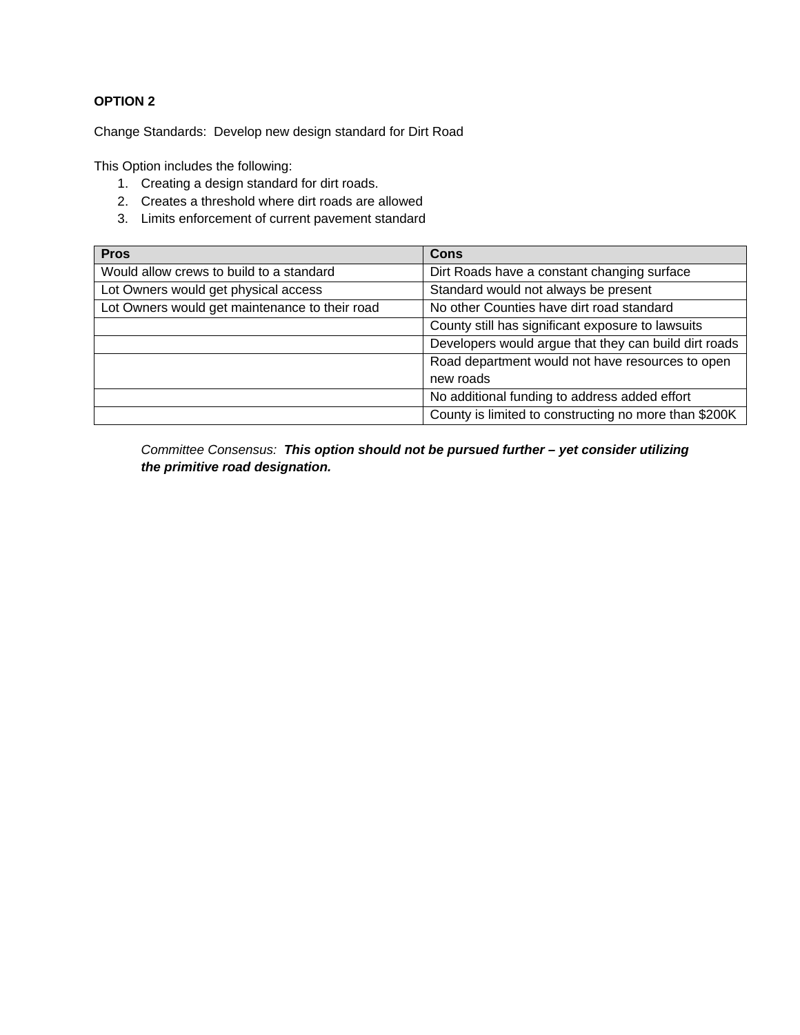Change Standards: Develop new design standard for Dirt Road

This Option includes the following:

- 1. Creating a design standard for dirt roads.
- 2. Creates a threshold where dirt roads are allowed
- 3. Limits enforcement of current pavement standard

| <b>Pros</b>                                    | <b>Cons</b>                                           |
|------------------------------------------------|-------------------------------------------------------|
| Would allow crews to build to a standard       | Dirt Roads have a constant changing surface           |
| Lot Owners would get physical access           | Standard would not always be present                  |
| Lot Owners would get maintenance to their road | No other Counties have dirt road standard             |
|                                                | County still has significant exposure to lawsuits     |
|                                                | Developers would argue that they can build dirt roads |
|                                                | Road department would not have resources to open      |
|                                                | new roads                                             |
|                                                | No additional funding to address added effort         |
|                                                | County is limited to constructing no more than \$200K |

*Committee Consensus: This option should not be pursued further – yet consider utilizing the primitive road designation.*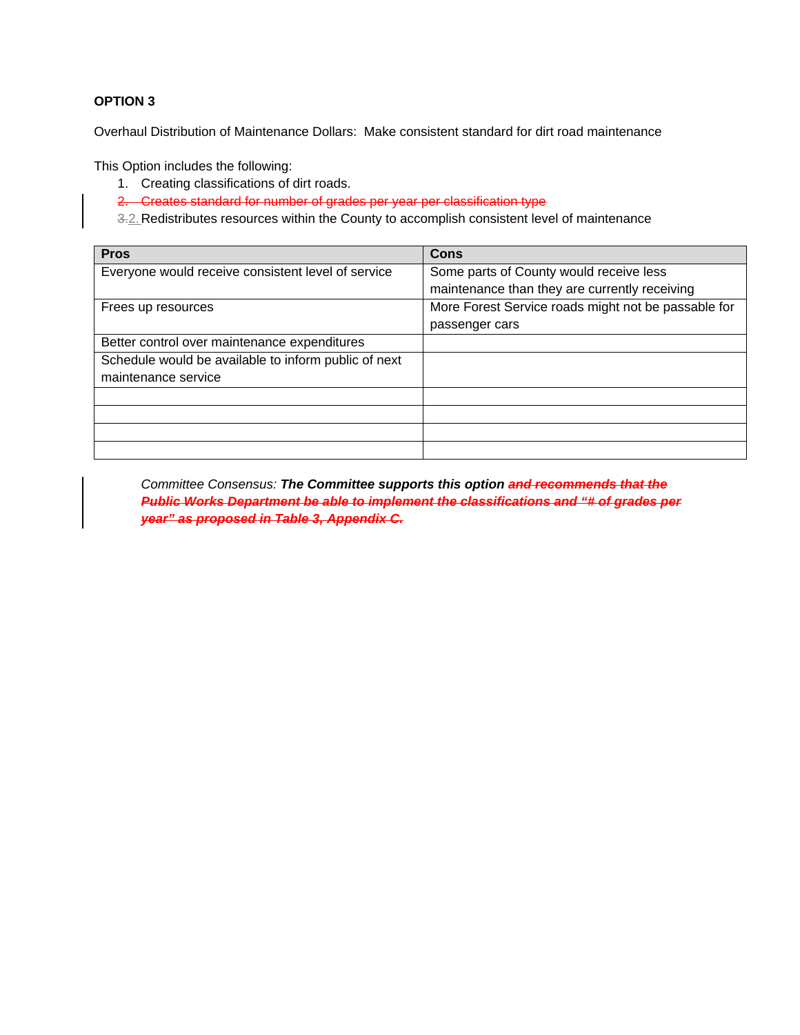Overhaul Distribution of Maintenance Dollars: Make consistent standard for dirt road maintenance

This Option includes the following:

- 1. Creating classifications of dirt roads.
- 2. Creates standard for number of grades per year per classification type
- 3.2. Redistributes resources within the County to accomplish consistent level of maintenance

| <b>Pros</b>                                          | <b>Cons</b>                                         |
|------------------------------------------------------|-----------------------------------------------------|
| Everyone would receive consistent level of service   | Some parts of County would receive less             |
|                                                      | maintenance than they are currently receiving       |
| Frees up resources                                   | More Forest Service roads might not be passable for |
|                                                      | passenger cars                                      |
| Better control over maintenance expenditures         |                                                     |
| Schedule would be available to inform public of next |                                                     |
| maintenance service                                  |                                                     |
|                                                      |                                                     |
|                                                      |                                                     |
|                                                      |                                                     |
|                                                      |                                                     |

*Committee Consensus: The Committee supports this option and recommends that the Public Works Department be able to implement the classifications and "# of grades per year" as proposed in Table 3, Appendix C.*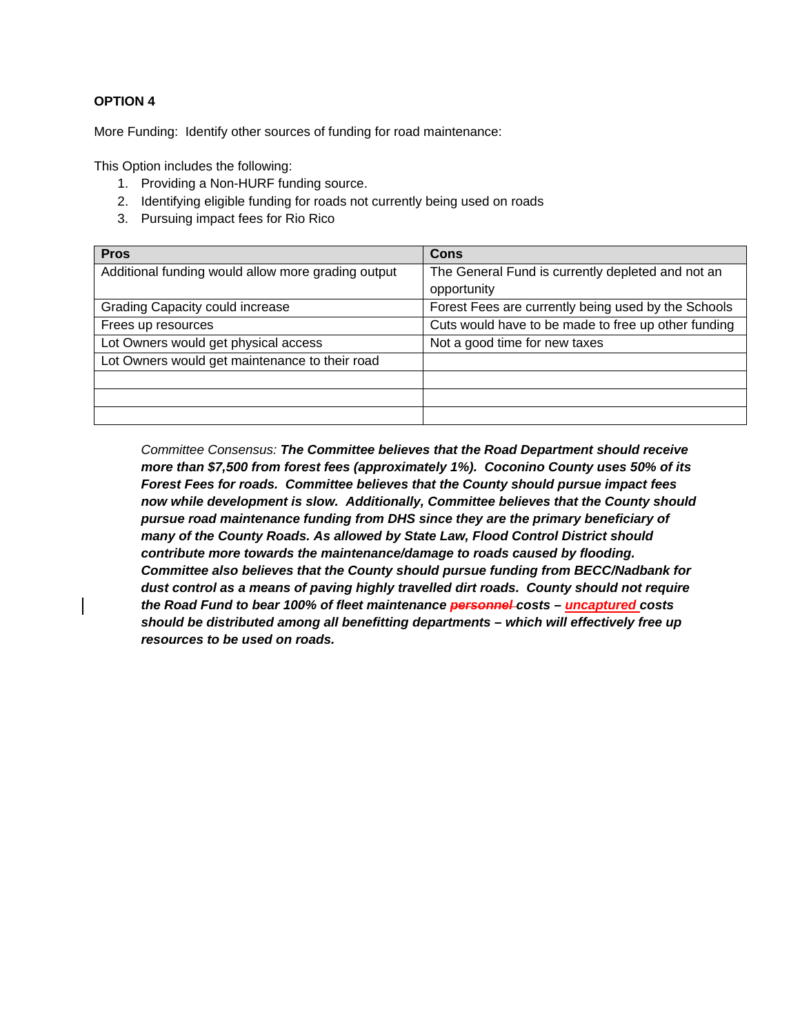More Funding: Identify other sources of funding for road maintenance:

This Option includes the following:

- 1. Providing a Non-HURF funding source.
- 2. Identifying eligible funding for roads not currently being used on roads
- 3. Pursuing impact fees for Rio Rico

| <b>Pros</b>                                        | Cons                                                |
|----------------------------------------------------|-----------------------------------------------------|
| Additional funding would allow more grading output | The General Fund is currently depleted and not an   |
|                                                    | opportunity                                         |
| Grading Capacity could increase                    | Forest Fees are currently being used by the Schools |
| Frees up resources                                 | Cuts would have to be made to free up other funding |
| Lot Owners would get physical access               | Not a good time for new taxes                       |
| Lot Owners would get maintenance to their road     |                                                     |
|                                                    |                                                     |
|                                                    |                                                     |
|                                                    |                                                     |

*Committee Consensus: The Committee believes that the Road Department should receive more than \$7,500 from forest fees (approximately 1%). Coconino County uses 50% of its Forest Fees for roads. Committee believes that the County should pursue impact fees now while development is slow. Additionally, Committee believes that the County should pursue road maintenance funding from DHS since they are the primary beneficiary of many of the County Roads. As allowed by State Law, Flood Control District should contribute more towards the maintenance/damage to roads caused by flooding. Committee also believes that the County should pursue funding from BECC/Nadbank for dust control as a means of paving highly travelled dirt roads. County should not require the Road Fund to bear 100% of fleet maintenance personnel costs – uncaptured costs should be distributed among all benefitting departments – which will effectively free up resources to be used on roads.*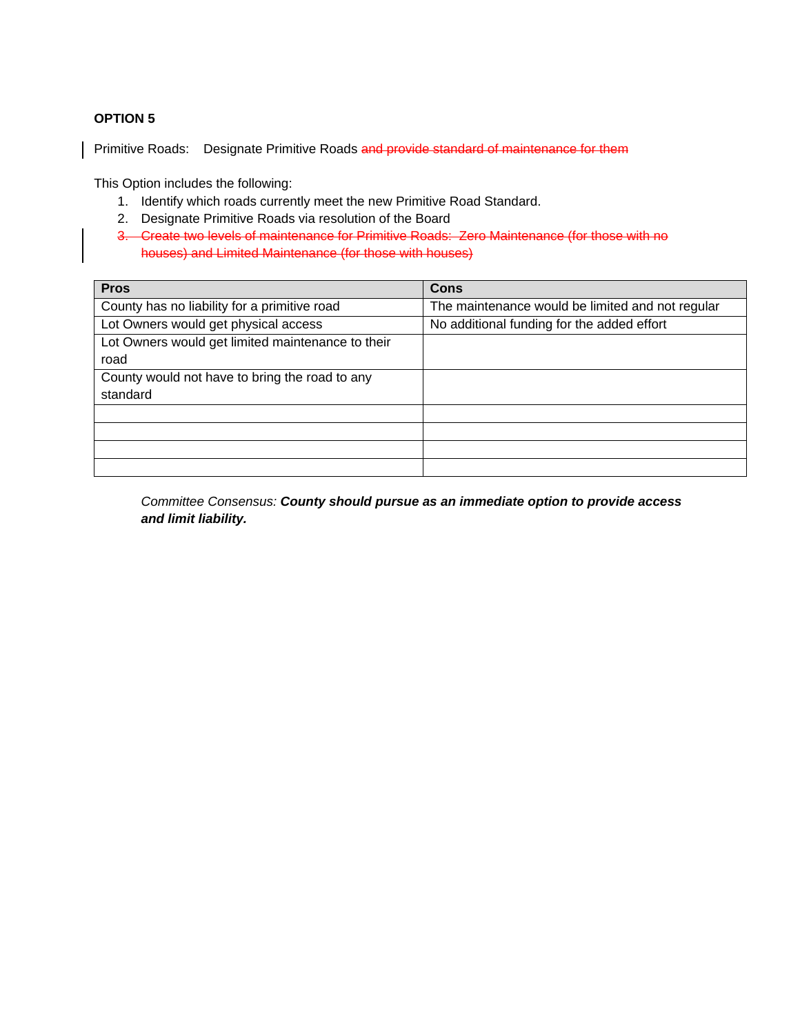Primitive Roads: Designate Primitive Roads and provide standard of maintenance for them

This Option includes the following:

- 1. Identify which roads currently meet the new Primitive Road Standard.
- 2. Designate Primitive Roads via resolution of the Board
- 3. Create two levels of maintenance for Primitive Roads: Zero Maintenance (for those with no houses) and Limited Maintenance (for those with houses)

| <b>Pros</b>                                       | <b>Cons</b>                                      |
|---------------------------------------------------|--------------------------------------------------|
| County has no liability for a primitive road      | The maintenance would be limited and not regular |
| Lot Owners would get physical access              | No additional funding for the added effort       |
| Lot Owners would get limited maintenance to their |                                                  |
| road                                              |                                                  |
| County would not have to bring the road to any    |                                                  |
| standard                                          |                                                  |
|                                                   |                                                  |
|                                                   |                                                  |
|                                                   |                                                  |
|                                                   |                                                  |

*Committee Consensus: County should pursue as an immediate option to provide access and limit liability.*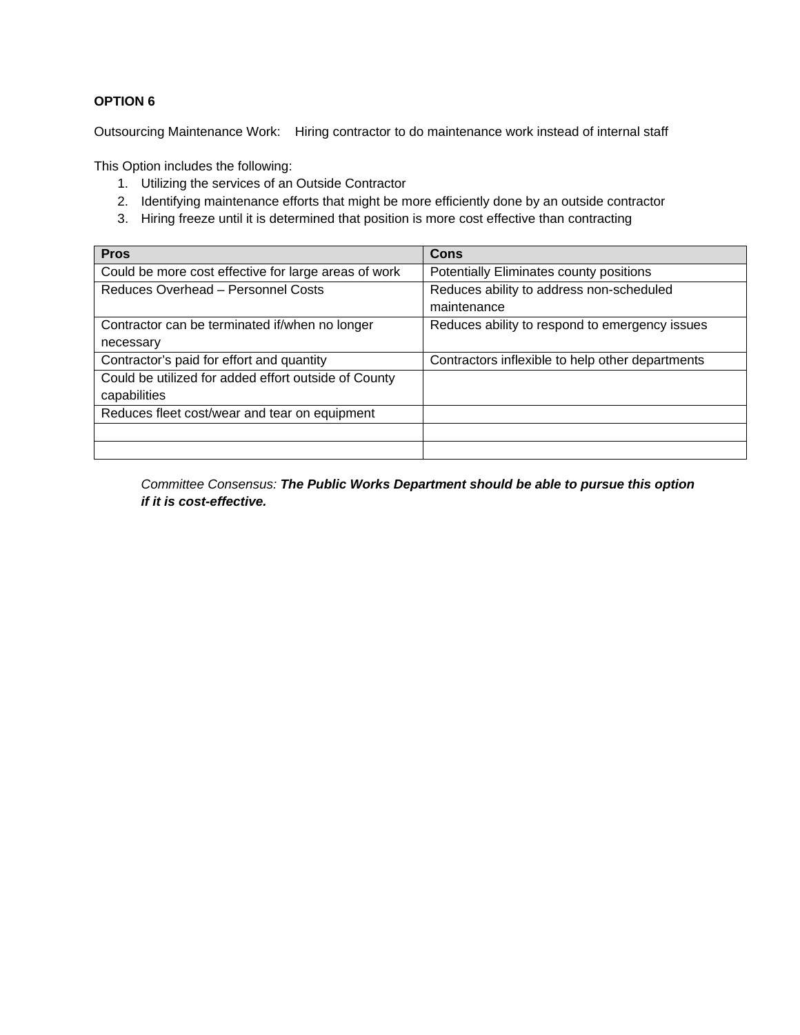Outsourcing Maintenance Work: Hiring contractor to do maintenance work instead of internal staff

This Option includes the following:

- 1. Utilizing the services of an Outside Contractor
- 2. Identifying maintenance efforts that might be more efficiently done by an outside contractor
- 3. Hiring freeze until it is determined that position is more cost effective than contracting

| <b>Pros</b>                                          | <b>Cons</b>                                      |
|------------------------------------------------------|--------------------------------------------------|
| Could be more cost effective for large areas of work | Potentially Eliminates county positions          |
| Reduces Overhead - Personnel Costs                   | Reduces ability to address non-scheduled         |
|                                                      | maintenance                                      |
| Contractor can be terminated if/when no longer       | Reduces ability to respond to emergency issues   |
| necessary                                            |                                                  |
| Contractor's paid for effort and quantity            | Contractors inflexible to help other departments |
| Could be utilized for added effort outside of County |                                                  |
| capabilities                                         |                                                  |
| Reduces fleet cost/wear and tear on equipment        |                                                  |
|                                                      |                                                  |
|                                                      |                                                  |

*Committee Consensus: The Public Works Department should be able to pursue this option if it is cost-effective.*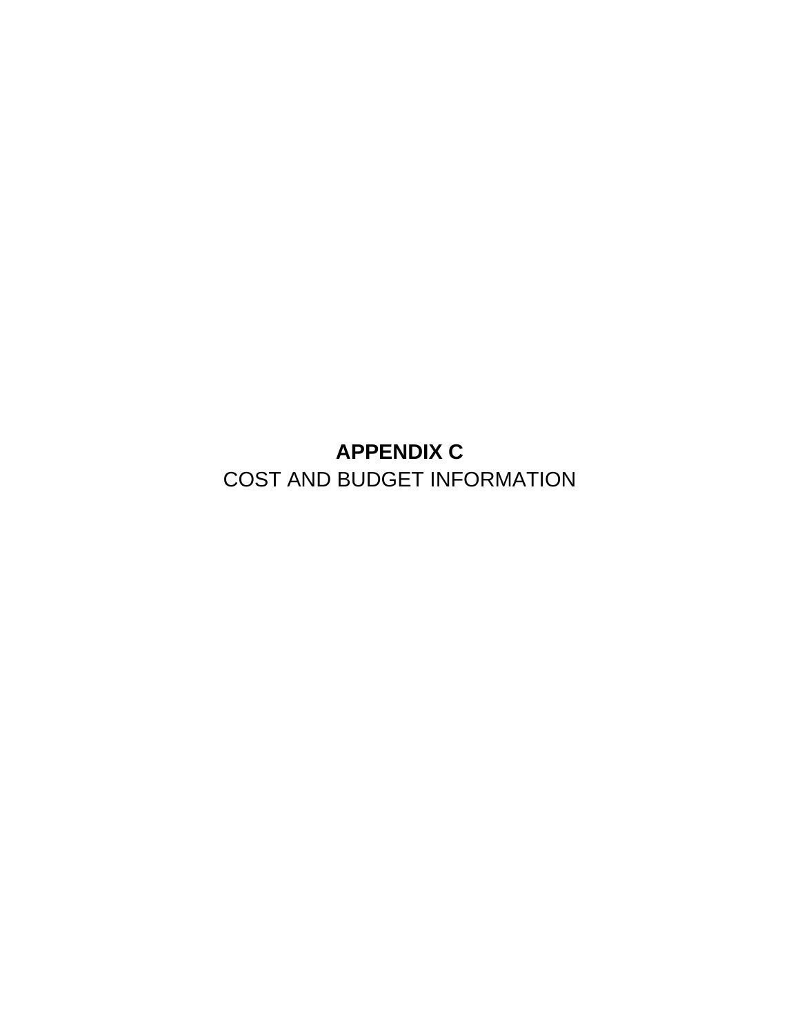**APPENDIX C**  COST AND BUDGET INFORMATION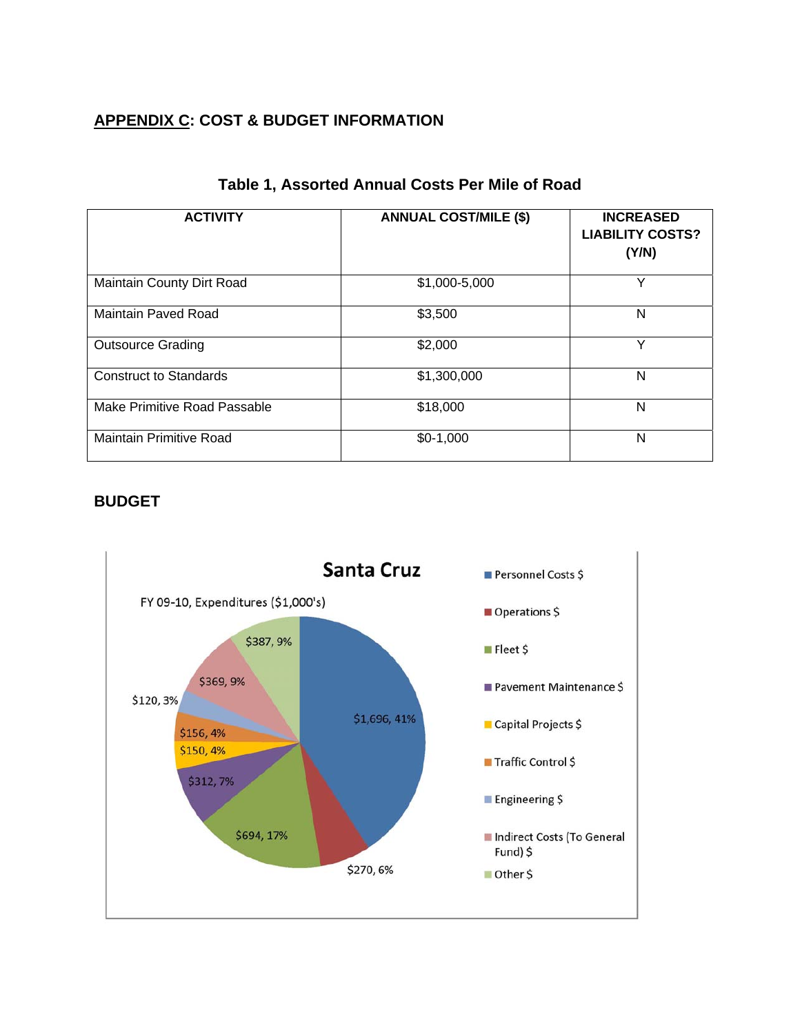# **APPENDIX C: COST & BUDGET INFORMATION**

| <b>ACTIVITY</b>                | <b>ANNUAL COST/MILE (\$)</b> | <b>INCREASED</b><br><b>LIABILITY COSTS?</b><br>(Y/N) |
|--------------------------------|------------------------------|------------------------------------------------------|
| Maintain County Dirt Road      | \$1,000-5,000                | Υ                                                    |
| <b>Maintain Paved Road</b>     | \$3,500                      | N                                                    |
| <b>Outsource Grading</b>       | \$2,000                      | Υ                                                    |
| <b>Construct to Standards</b>  | \$1,300,000                  | N                                                    |
| Make Primitive Road Passable   | \$18,000                     | N                                                    |
| <b>Maintain Primitive Road</b> | $$0-1,000$                   | N                                                    |

# **Table 1, Assorted Annual Costs Per Mile of Road**

## **BUDGET**

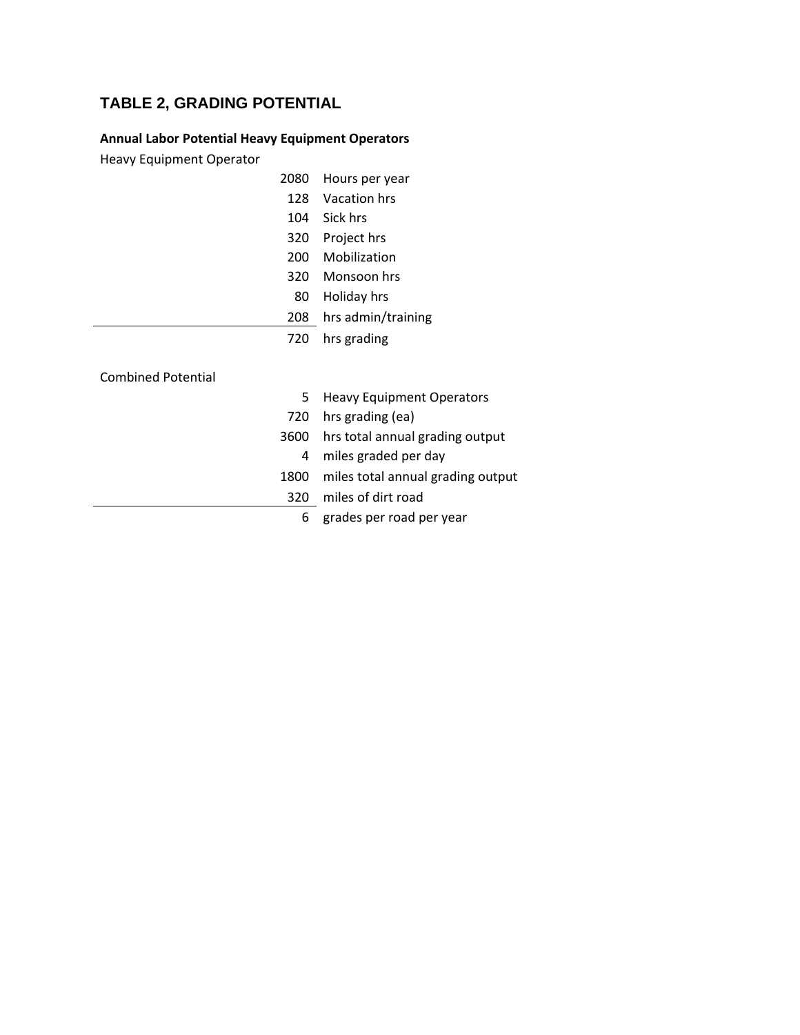# **TABLE 2, GRADING POTENTIAL**

## **Annual Labor Potential Heavy Equipment Operators**

Heavy Equipment Operator

| 2080                      | Hours per year                    |
|---------------------------|-----------------------------------|
| 128                       | Vacation hrs                      |
| 104                       | Sick hrs                          |
| 320                       | Project hrs                       |
| 200                       | Mobilization                      |
| 320                       | Monsoon hrs                       |
| 80                        | Holiday hrs                       |
| 208                       | hrs admin/training                |
| 720                       | hrs grading                       |
| <b>Combined Potential</b> |                                   |
| 5                         | <b>Heavy Equipment Operators</b>  |
| 720                       | hrs grading (ea)                  |
| 3600                      | hrs total annual grading output   |
| 4                         | miles graded per day              |
| 1800                      | miles total annual grading output |
| 320                       | miles of dirt road                |
| 6                         | grades per road per year          |